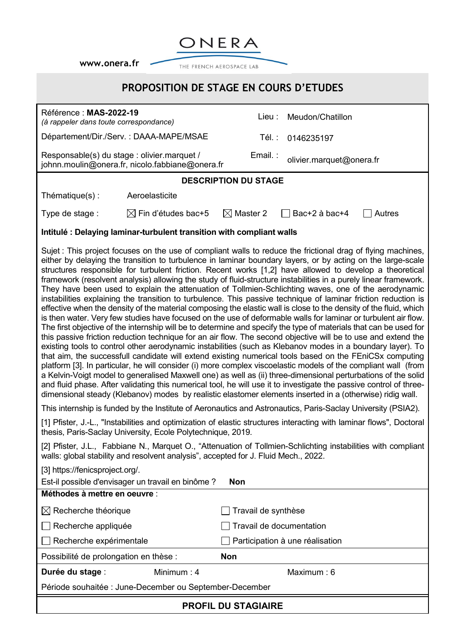**[www.onera.fr](http://www.onera.fr/)**



## **PROPOSITION DE STAGE EN COURS D'ETUDES**

[1] Pfister, J.-L., "Instabilities and optimization of elastic structures interacting with laminar flows", Doctoral thesis, Paris-Saclay University, Ecole Polytechnique, 2019.

[2] Pfister, J.L., Fabbiane N., Marquet O., "Attenuation of Tollmien-Schlichting instabilities with compliant walls: global stability and resolvent analysis", accepted for J. Fluid Mech., 2022.

| [3] https://fenicsproject.org/.                         |              |                                 |  |
|---------------------------------------------------------|--------------|---------------------------------|--|
| Est-il possible d'envisager un travail en binôme ?      |              | <b>Non</b>                      |  |
| Méthodes à mettre en oeuvre :                           |              |                                 |  |
| $\boxtimes$ Recherche théorique                         |              | Travail de synthèse             |  |
| Recherche appliquée                                     |              | Travail de documentation        |  |
| $\Box$ Recherche expérimentale                          |              | Participation à une réalisation |  |
| Possibilité de prolongation en thèse :                  |              | <b>Non</b>                      |  |
| Durée du stage :                                        | Minimum: $4$ | Maximum: $6$                    |  |
| Période souhaitée : June-December ou September-December |              |                                 |  |
| <b>PROFIL DU STAGIAIRE</b>                              |              |                                 |  |